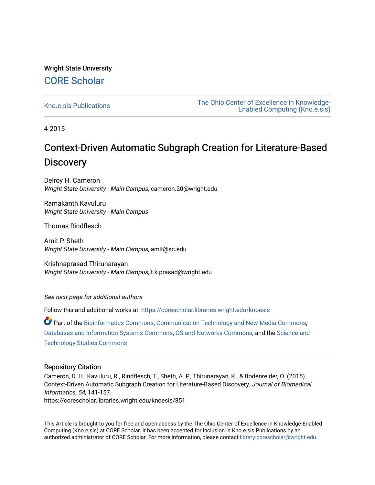# Wright State University [CORE Scholar](https://corescholar.libraries.wright.edu/)

[Kno.e.sis Publications](https://corescholar.libraries.wright.edu/knoesis) [The Ohio Center of Excellence in Knowledge-](https://corescholar.libraries.wright.edu/knoesis_comm)[Enabled Computing \(Kno.e.sis\)](https://corescholar.libraries.wright.edu/knoesis_comm) 

4-2015

# Context-Driven Automatic Subgraph Creation for Literature-Based **Discovery**

Delroy H. Cameron Wright State University - Main Campus, cameron.20@wright.edu

Ramakanth Kavuluru Wright State University - Main Campus

Thomas Rindflesch

Amit P. Sheth Wright State University - Main Campus, amit@sc.edu

Krishnaprasad Thirunarayan Wright State University - Main Campus, t.k.prasad@wright.edu

See next page for additional authors

Follow this and additional works at: [https://corescholar.libraries.wright.edu/knoesis](https://corescholar.libraries.wright.edu/knoesis?utm_source=corescholar.libraries.wright.edu%2Fknoesis%2F851&utm_medium=PDF&utm_campaign=PDFCoverPages) 

Part of the [Bioinformatics Commons,](http://network.bepress.com/hgg/discipline/110?utm_source=corescholar.libraries.wright.edu%2Fknoesis%2F851&utm_medium=PDF&utm_campaign=PDFCoverPages) [Communication Technology and New Media Commons,](http://network.bepress.com/hgg/discipline/327?utm_source=corescholar.libraries.wright.edu%2Fknoesis%2F851&utm_medium=PDF&utm_campaign=PDFCoverPages) [Databases and Information Systems Commons](http://network.bepress.com/hgg/discipline/145?utm_source=corescholar.libraries.wright.edu%2Fknoesis%2F851&utm_medium=PDF&utm_campaign=PDFCoverPages), [OS and Networks Commons](http://network.bepress.com/hgg/discipline/149?utm_source=corescholar.libraries.wright.edu%2Fknoesis%2F851&utm_medium=PDF&utm_campaign=PDFCoverPages), and the [Science and](http://network.bepress.com/hgg/discipline/435?utm_source=corescholar.libraries.wright.edu%2Fknoesis%2F851&utm_medium=PDF&utm_campaign=PDFCoverPages) [Technology Studies Commons](http://network.bepress.com/hgg/discipline/435?utm_source=corescholar.libraries.wright.edu%2Fknoesis%2F851&utm_medium=PDF&utm_campaign=PDFCoverPages) 

### Repository Citation

Cameron, D. H., Kavuluru, R., Rindflesch, T., Sheth, A. P., Thirunarayan, K., & Bodenreider, O. (2015). Context-Driven Automatic Subgraph Creation for Literature-Based Discovery. Journal of Biomedical Informatics, 54, 141-157. https://corescholar.libraries.wright.edu/knoesis/851

This Article is brought to you for free and open access by the The Ohio Center of Excellence in Knowledge-Enabled Computing (Kno.e.sis) at CORE Scholar. It has been accepted for inclusion in Kno.e.sis Publications by an authorized administrator of CORE Scholar. For more information, please contact [library-corescholar@wright.edu](mailto:library-corescholar@wright.edu).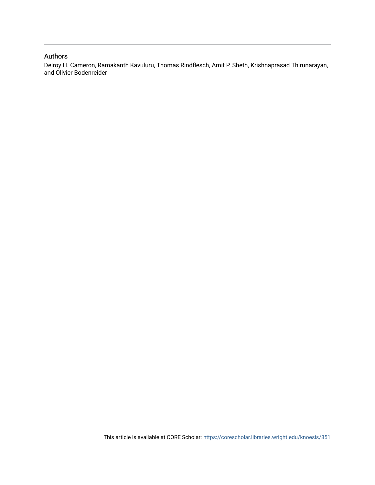## Authors

Delroy H. Cameron, Ramakanth Kavuluru, Thomas Rindflesch, Amit P. Sheth, Krishnaprasad Thirunarayan, and Olivier Bodenreider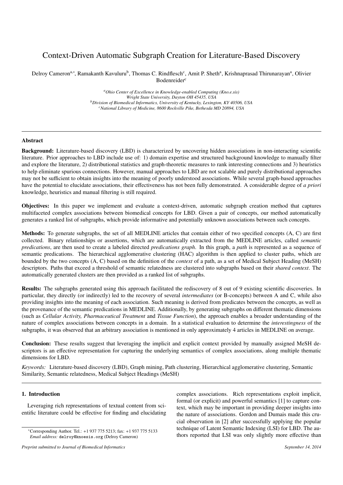## Context-Driven Automatic Subgraph Creation for Literature-Based Discovery

Delroy Cameron<sup>a,∗</sup>, Ramakanth Kavuluru<sup>b</sup>, Thomas C. Rindflesch<sup>c</sup>, Amit P. Sheth<sup>a</sup>, Krishnaprasad Thirunarayan<sup>a</sup>, Olivier Bodenreider<sup>c</sup>

> *<sup>a</sup>Ohio Center of Excellence in Knowledge-enabled Computing (Kno.e.sis) Wright State University, Dayton OH 45435, USA <sup>b</sup>Division of Biomedical Informatics, University of Kentucky, Lexington, KY 40506, USA <sup>c</sup>National Library of Medicine, 8600 Rockville Pike, Bethesda MD 20894, USA*

#### Abstract

Background: Literature-based discovery (LBD) is characterized by uncovering hidden associations in non-interacting scientific literature. Prior approaches to LBD include use of: 1) domain expertise and structured background knowledge to manually filter and explore the literature, 2) distributional statistics and graph-theoretic measures to rank interesting connections and 3) heuristics to help eliminate spurious connections. However, manual approaches to LBD are not scalable and purely distributional approaches may not be sufficient to obtain insights into the meaning of poorly understood associations. While several graph-based approaches have the potential to elucidate associations, their effectiveness has not been fully demonstrated. A considerable degree of *a priori* knowledge, heuristics and manual filtering is still required.

Objectives: In this paper we implement and evaluate a context-driven, automatic subgraph creation method that captures multifaceted complex associations between biomedical concepts for LBD. Given a pair of concepts, our method automatically generates a ranked list of subgraphs, which provide informative and potentially unknown associations between such concepts.

Methods: To generate subgraphs, the set of all MEDLINE articles that contain either of two specified concepts (A, C) are first collected. Binary relationships or assertions, which are automatically extracted from the MEDLINE articles, called *semantic predications*, are then used to create a labeled directed *predications graph*. In this graph, a *path* is represented as a sequence of semantic predications. The hierarchical agglomerative clustering (HAC) algorithm is then applied to cluster paths, which are bounded by the two concepts (A, C) based on the definition of the *context* of a path, as a set of Medical Subject Heading (MeSH) descriptors. Paths that exceed a threshold of semantic relatedness are clustered into subgraphs based on their *shared context*. The automatically generated clusters are then provided as a ranked list of subgraphs.

Results: The subgraphs generated using this approach facilitated the rediscovery of 8 out of 9 existing scientific discoveries. In particular, they directly (or indirectly) led to the recovery of several *intermediates* (or B-concepts) between A and C, while also providing insights into the meaning of each association. Such meaning is derived from predicates between the concepts, as well as the provenance of the semantic predications in MEDLINE. Additionally, by generating subgraphs on different thematic dimensions (such as *Cellular Activity, Pharmaceutical Treatment* and *Tissue Function*), the approach enables a broader understanding of the nature of complex associations between concepts in a domain. In a statistical evaluation to determine the *interestingness* of the subgraphs, it was observed that an arbitrary association is mentioned in only approximately 4 articles in MEDLINE on average.

Conclusion: These results suggest that leveraging the implicit and explicit context provided by manually assigned MeSH descriptors is an effective representation for capturing the underlying semantics of complex associations, along multiple thematic dimensions for LBD.

*Keywords:* Literature-based discovery (LBD), Graph mining, Path clustering, Hierarchical agglomerative clustering, Semantic Similarity, Semantic relatedness, Medical Subject Headings (MeSH)

#### 1. Introduction

Leveraging rich representations of textual content from scientific literature could be effective for finding and elucidating

complex associations. Rich representations exploit implicit, formal (or explicit) and powerful semantics [1] to capture context, which may be important in providing deeper insights into the nature of associations. Gordon and Dumais made this crucial observation in [2] after successfully applying the popular technique of Latent Semantic Indexing (LSI) for LBD. The authors reported that LSI was only slightly more effective than

<sup>∗</sup>Corresponding Author. Tel.: +1 937 775 5213; fax: +1 937 775 5133 *Email address:* delroy@knoesis.org (Delroy Cameron)

*Preprint submitted to Journal of Biomedical Informatics September 14, 2014*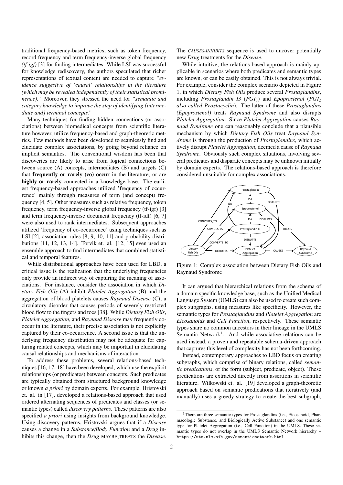traditional frequency-based metrics, such as token frequency, record frequency and term frequency-inverse global frequency *(tf-igf)* [3] for finding intermediates. While LSI was successful for knowledge rediscovery, the authors speculated that richer representations of textual content are needed to capture *"evidence suggestive of 'causal' relationships in the literature (which may be revealed independently of their statistical prominence)."* Moreover, they stressed the need for *"semantic and category knowledge to improve the step of identifying [intermediate and] terminal concepts."*

Many techniques for finding hidden connections (or associations) between biomedical concepts from scientific literature however, utilize frequency-based and graph-theoretic metrics. Few methods have been developed to seamlessly find and elucidate complex associations, by going beyond reliance on implicit semantics. The conventional wisdom has been that discoveries are likely to arise from logical connections between source (A) concepts, intermediates (B) and targets (C) that frequently or rarely (co) occur in the literature, or are highly or rarely connected in a knowledge base. The earliest frequency-based approaches utilized 'frequency of occurrence' mainly through measures of term (and concept) frequency [4, 5]. Other measures such as relative frequency, token frequency, term frequency-inverse global frequency (tf-igf) [3] and term frequency-inverse document frequency (tf-idf) [6, 7] were also used to rank intermediates. Subsequent approaches utilized 'frequency of co-occurrence' using techniques such as LSI [2], association rules [8, 9, 10, 11] and probability distributions [11, 12, 13, 14]. Torvik et. al. [12, 15] even used an ensemble approach to find intermediates that combined statistical and temporal features.

While distributional approaches have been used for LBD, a critical issue is the realization that the underlying frequencies only provide an indirect way of capturing the meaning of associations. For instance, consider the association in which *Dietary Fish Oils* (A) inhibit *Platelet Aggregation* (B) and the aggregation of blood platelets causes *Raynaud Disease* (C); a circulatory disorder that causes periods of severely restricted blood flow to the fingers and toes [38]. While *Dietary Fish Oils*, *Platelet Aggregation*, and *Raynaud Disease* may frequently cooccur in the literature, their precise association is not explicitly captured by their co-occurrence. A second issue is that the underlying frequency distribution may not be adequate for capturing related concepts, which may be important in elucidating causal relationships and mechanisms of interaction.

To address these problems, several relations-based techniques [16, 17, 18] have been developed, which use the explicit relationships (or predicates) between concepts. Such predicates are typically obtained from structured background knowledge or known *a priori* by domain experts. For example, Hristovski et. al. in [17], developed a relations-based approach that used ordered alternating sequences of predicates and classes (or semantic types) called *discovery patterns*. These patterns are also specified *a priori* using insights from background knowledge. Using discovery patterns, Hristovski argues that if a *Disease* causes a change in a *Substance*/*Body Function* and a *Drug* inhibits this change, then the *Drug* MAYBE TREATS the *Disease*.

The *CAUSES-INHIBITS* sequence is used to uncover potentially new *Drug* treatments for the *Disease*.

While intuitive, the relations-based approach is mainly applicable in scenarios where both predicates and semantic types are known, or can be easily obtained. This is not always trivial. For example, consider the complex scenario depicted in Figure 1, in which *Dietary Fish Oils* produce several *Prostaglandins*, including *Prostaglandin I3* (*PGI*<sub>3</sub>) and *Epoprostenol* (*PGI*<sub>2</sub>) *also called Prostacyclin*). The latter of these *Prostaglandins (Epoprostenol)* treats *Raynaud Syndrome* and also disrupts *Platelet Aggregation*. Since *Platelet Aggregation* causes *Raynaud Syndrome* one can reasonably conclude that a plausible mechanism by which *Dietary Fish Oils* treat *Raynaud Syndrome* is through the production of *Prostaglandins*, which actively disrupt *Platelet Aggregation*, deemed a cause of *Raynaud Syndrome*. Obviously such complex situations, involving several predicates and disparate concepts may be unknown initially by domain experts. The relations-based approach is therefore considered unsuitable for complex associations.



Figure 1: Complex association between Dietary Fish Oils and Raynaud Syndrome

It can argued that hierarchical relations from the schema of a domain specific knowledge base, such as the Unified Medical Language System (UMLS) can also be used to create such complex subgraphs, using measures like specificity. However, the semantic types for *Prostaglandins* and *Platelet Aggregation* are *Eicosanoids* and *Cell Function*, respectively. These semantic types share no common ancestors in their lineage in the UMLS Semantic Network<sup>1</sup>. And while associative relations can be used instead, a proven and repeatable schema-driven approach that captures this level of complexity has not been forthcoming.

Instead, contemporary approaches to LBD focus on creating subgraphs, which comprise of binary relations, called *semantic predications*, of the form (subject, predicate, object). These predications are extracted directly from assertions in scientific literature. Wilkowski et. al. [19] developed a graph-theoretic approach based on semantic predications that iteratively (and manually) uses a greedy strategy to create the best subgraph,

<sup>&</sup>lt;sup>1</sup>There are three semantic types for Prostaglandins (i.e., Eicosanoid, Pharmacologic Substance, and Biologically Active Substance) and one semantic type for Platelet Aggregation (i.e., Cell Function) in the UMLS. These semantic types do not overlap in the UMLS Semantic Network hierarchy – https://uts.nlm.nih.gov/semanticnetwork.html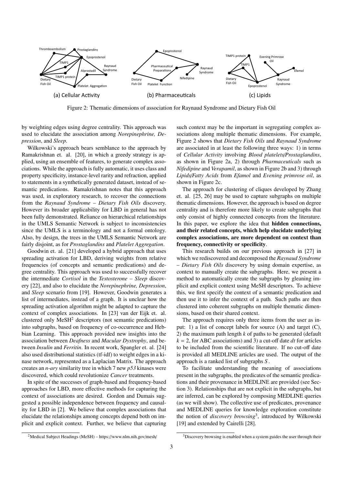

Figure 2: Thematic dimensions of association for Raynaud Syndrome and Dietary Fish Oil

by weighting edges using degree centrality. This approach was used to elucidate the association among *Norepinephrine, Depression*, and *Sleep*.

Wilkowski's approach bears semblance to the approach by Ramakrishnan et. al. [20], in which a greedy strategy is applied, using an ensemble of features, to generate complex associations. While the approach is fully automatic, it uses class and property specificity, instance-level rarity and refraction, applied to statements in a synthetically generated dataset, instead of semantic predications. Ramakrishnan notes that this approach was used, in exploratory research, to recover the connections from the *Raynaud Syndrome* – *Dietary Fish Oils* discovery. However its broader applicability for LBD in general has not been fully demonstrated. Reliance on hierarchical relationships in the UMLS Semantic Network is subject to inconsistencies since the UMLS is a terminology and not a formal ontology. Also, by design, the trees in the UMLS Semantic Network are fairly disjoint, as for *Prostaglandins* and *Platelet Aggregation*.

Goodwin et. al. [21] developed a hybrid approach that uses spreading activation for LBD, deriving weights from relative frequencies (of concepts and semantic predications) and degree centrality. This approach was used to successfully recover the intermediate *Cortisol* in the *Testosterone* – *Sleep* discovery [22], and also to elucidate the *Norepinephrine, Depression*, and *Sleep* scenario from [19]. However, Goodwin generates a list of intermediates, instead of a graph. It is unclear how the spreading activation algorithm might be adapted to capture the context of complex associations. In [23] van der Eijk et. al. clustered only  $MeSH<sup>2</sup>$  descriptors (not semantic predications) into subgraphs, based on frequency of co-occurrence and Hebbian Learning. This approach provided new insights into the association between *Deafness* and *Macular Dystrophy*, and between *Insulin* and *Ferritin*. In recent work, Spangler et. al. [24] also used distributional statistics (tf-idf) to weight edges in a kinase network, represented as a Laplacian Matrix. The approach creates an *n-ary* similarity tree in which 7 new *p53* kinases were discovered, which could revolutionize *Cancer* treatments.

In spite of the successes of graph-based and frequency-based approaches for LBD, more effective methods for capturing the context of associations are desired. Gordon and Dumais suggested a possible independence between frequency and causality for LBD in [2]. We believe that complex associations that elucidate the relationships among concepts depend both on implicit and explicit context. Further, we believe that capturing

such context may be the important in segregating complex associations along multiple thematic dimensions. For example, Figure 2 shows that *Dietary Fish Oils* and *Raynaud Syndrome* are associated in at least the following three ways: 1) in terms of *Cellular Activity* involving *Blood platelets*/*Prostaglandins*, as shown in Figure 2a, 2) through *Pharmaceuticals* such as *Nifedipine* and *Verapamil*, as shown in Figure 2b and 3) through *Lipids*/*Fatty Acids* from *Efamol* and *Evening primrose oil*, as shown in Figure 2c.

The approach for clustering of cliques developed by Zhang et. al. [25, 26] may be used to capture subgraphs on multiple thematic dimensions. However, the approach is based on degree centrality and is therefore more likely to create subgraphs that only consist of highly connected concepts from the literature. In this paper, we explore the idea that hidden connections, and their related concepts, which help elucidate underlying complex associations, are more dependent on context than frequency, connectivity or specificity.

This research builds on our previous approach in [27] in which we rediscovered and decomposed the *Raynaud Syndrome* – *Dietary Fish Oils* discovery by using domain expertise, as context to manually create the subgraphs. Here, we present a method to automatically create the subgraphs by gleaning implicit and explicit context using MeSH descriptors. To achieve this, we first specify the context of a semantic predication and then use it to infer the context of a path. Such paths are then clustered into coherent subgraphs on multiple thematic dimensions, based on their shared context.

The approach requires only three items from the user as input: 1) a list of concept labels for source (A) and target (C), 2) the maximum path length *k* of paths to be generated (default *k* = 2, for ABC associations) and 3) a cut-off date *dt* for articles to be included from the scientific literature. If no cut-off date is provided all MEDLINE articles are used. The output of the approach is a ranked list of subgraphs *S* .

To facilitate understanding the meaning of associations present in the subgraphs, the predicates of the semantic predications and their provenance in MEDLINE are provided (see Section 3). Relationships that are not explicit in the subgraphs, but are inferred, can be explored by composing MEDLINE queries (as we will show). The collective use of predicates, provenance and MEDLINE queries for knowledge exploration constitute the notion of *discovery browsing*<sup>3</sup> , introduced by Wilkowski [19] and extended by Cairelli [28].

<sup>2</sup>Medical Subject Headings (MeSH) – https://www.nlm.nih.gov/mesh/

<sup>&</sup>lt;sup>3</sup>Discovery browsing is enabled when a system guides the user through their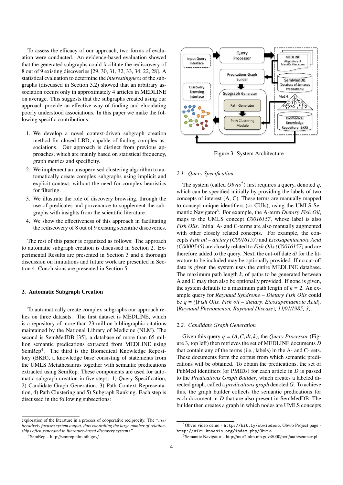To assess the efficacy of our approach, two forms of evaluation were conducted. An evidence-based evaluation showed that the generated subgraphs could facilitate the rediscovery of 8 out of 9 existing discoveries [29, 30, 31, 32, 33, 34, 22, 28]. A statistical evaluation to determine the *interestingness* of the subgraphs (discussed in Section 3.2) showed that an arbitrary association occurs only in approximately 4 articles in MEDLINE on average. This suggests that the subgraphs created using our approach provide an effective way of finding and elucidating poorly understood associations. In this paper we make the following specific contributions:

- 1. We develop a novel context-driven subgraph creation method for closed LBD, capable of finding complex associations. Our approach is distinct from previous approaches, which are mainly based on statistical frequency, graph metrics and specificity.
- 2. We implement an unsupervised clustering algorithm to automatically create complex subgraphs using implicit and explicit context, without the need for complex heuristics for filtering.
- 3. We illustrate the role of discovery browsing, through the use of predicates and provenance to supplement the subgraphs with insights from the scientific literature.
- 4. We show the effectiveness of this approach in facilitating the rediscovery of 8 out of 9 existing scientific discoveries.

The rest of this paper is organized as follows: The approach to automatic subgraph creation is discussed in Section 2. Experimental Results are presented in Section 3 and a thorough discussion on limitations and future work are presented in Section 4. Conclusions are presented in Section 5.

#### 2. Automatic Subgraph Creation

To automatically create complex subgraphs our approach relies on three datasets. The first dataset is MEDLINE, which is a repository of more than 23 million bibliographic citations maintained by the National Library of Medicine (NLM). The second is SemMedDB [35], a database of more than 65 million semantic predications extracted from MEDLINE using SemRep<sup>4</sup>. The third is the Biomedical Knowledge Repository (BKR), a knowledge base consisting of statements from the UMLS Metathesaurus together with semantic predications extracted using SemRep. These components are used for automatic subgraph creation in five steps: 1) Query Specification, 2) Candidate Graph Generation, 3) Path Context Representation, 4) Path Clustering and 5) Subgraph Ranking. Each step is discussed in the following subsections:



Figure 3: System Architecture

#### *2.1. Query Specification*

The system (called  $Obvio<sup>5</sup>$ ) first requires a query, denoted q, which can be specified initially by providing the labels of two concepts of interest (A, C). These terms are manually mapped to concept unique identifiers (or CUIs), using the UMLS Semantic Navigator<sup>6</sup>. For example, the A-term Dietary Fish Oil, maps to the UMLS concept *C0016157*, whose label is also *Fish Oils*. Initial A- and C-terms are also manually augmented with other closely related concepts. For example, the concepts *Fish oil – dietary (C0016157)* and *Eicosapentaenoic Acid (C0000545)* are closely related to *Fish Oils (C0016157)* and are therefore added to the query. Next, the cut-off date *dt* for the literature to be included may be optionally provided. If no cut-off date is given the system uses the entire MEDLINE database. The maximum path length *k*, of paths to be generated between A and C may then also be optionally provided. If none is given, the system defaults to a maximum path length of  $k = 2$ . An example query for *Raynaud Syndrome – Dietary Fish Oils* could be *q* = *(*{*Fish Oils, Fish oil – dietary, Eicosapentaenoic Acid*}*,* {*Raynaud Phenomenon, Raynaud Disease*}*, 11*/*01*/*1985, 3)*.

#### *2.2. Candidate Graph Generation*

Given this query  $q = (A, C, dt, k)$ , the *Query Processor* (Figure 3, top left) then retrieves the set of MEDLINE documents *D* that contain any of the terms (i.e., labels) in the A- and C- sets. These documents form the corpus from which semantic predications will be obtained. To obtain the predications, the set of PubMed identifiers (or PMIDs) for each article in *D* is passed to the *Predications Graph Builder*, which creates a labeled directed graph, called a *predications graph* denoted *G*. To achieve this, the graph builder collects the semantic predications for each document in *D* that are also present in SemMedDB. The builder then creates a graph in which nodes are UMLS concepts

exploration of the literature in a process of cooperative reciprocity. The *"user iteratively focuses system output, thus controlling the large number of relationships often generated in literature-based discovery systems."*

<sup>4</sup>SemRep – http://semrep.nlm.nih.gov/

<sup>5</sup>Obvio video demo - http://bit.ly/obviodemo, Obvio Project page http://wiki.knoesis.org/index.php/Obvio

<sup>6</sup>Semantic Navigator – http://mor2.nlm.nih.gov:8000/perl/auth/semnav.pl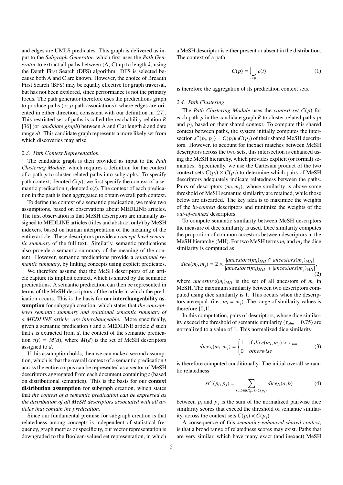and edges are UMLS predicates. This graph is delivered as input to the *Subgraph Generator*, which first uses the *Path Generator* to extract all paths between (A, C) up to length *k*, using the Depth First Search (DFS) algorithm. DFS is selected because both A and C are known. However, the choice of Breadth First Search (BFS) may be equally effective for graph traversal, but has not been explored, since performance is not the primary focus. The path generator therefore uses the predications graph to produce paths (or  $\rho$ -path associations), where edges are oriented in either direction, consistent with our definition in [27]. This restricted set of paths is called the reachability relation *R* [36] (or *candidate graph*) between A and C at length *k* and date range *dt*. This candidate graph represents a more likely set from which discoveries may arise.

#### *2.3. Path Context Representation*

The candidate graph is then provided as input to the *Path Clustering Module*, which requires a definition for the context of a path *p* to cluster related paths into subgraphs. To specify path context, denoted  $C(p)$ , we first specify the context of a semantic predication  $t$ , denoted  $c(t)$ . The context of each predication in the path is then aggregated to obtain overall path context.

To define the context of a semantic predication, we make two assumptions, based on observations about MEDLINE articles. The first observation is that MeSH descriptors are manually assigned to MEDLINE articles (titles and abstract only) by MeSH indexers, based on human interpretation of the meaning of the entire article. These descriptors provide a *concept-level semantic summary* of the full text. Similarly, semantic predications also provide a semantic summary of the meaning of the content. However, semantic predications provide a *relational semantic summary*, by linking concepts using explicit predicates.

We therefore assume that the MeSH descriptors of an article capture its implicit context, which is shared by the semantic predications. A semantic predication can then be represented in terms of the MeSH descriptors of the article in which the predication occurs. This is the basis for our interchangeability assumption for subgraph creation, which states that *the conceptlevel semantic summary and relational semantic summary of a MEDLINE article, are interchangeable.* More specifically, given a semantic predication *t* and a MEDLINE article *d* such that *t* is extracted from *d*, the context of the semantic predication  $c(t) = M(d)$ , where  $M(d)$  is the set of MeSH descriptors assigned to *d*.

If this assumption holds, then we can make a second assumption, which is that the overall context of a semantic predication *t* across the entire corpus can be represented as a vector of MeSH descriptors aggregated from each document containing *t* (based on distributional semantics). This is the basis for our context distribution assumption for subgraph creation, which states that *the context of a semantic predication can be expressed as the distribution of all MeSH descriptors associated with all articles that contain the predication.*

Since our fundamental premise for subgraph creation is that relatedness among concepts is independent of statistical frequency, graph metrics or specificity, our vector representation is downgraded to the Boolean-valued set representation, in which

a MeSH descriptor is either present or absent in the distribution. The context of a path

$$
C(p) = \bigcup_{t \in p} c(t) \tag{1}
$$

is therefore the aggregation of its predication context sets.

#### *2.4. Path Clustering*

The *Path Clustering Module* uses the *context set C*(*p*) for each path *p* in the candidate graph *R* to cluster related paths  $p_i$ and  $p_j$ , based on their shared context. To compute this shared context between paths, the system initially computes the intersection  $s''(p_i, p_j) = C(p_i) \cap C(p_j)$  of their shared MeSH descriptors. However, to account for inexact matches between MeSH tors. However, to account for inexact matches between MeSH descriptors across the two sets, this intersection is enhanced using the MeSH hierarchy, which provides explicit (or formal) semantics. Specifically, we use the Cartesian product of the two context sets  $C(p_i) \times C(p_i)$  to determine which pairs of MeSH descriptors adequately indicate relatedness between the paths. Pairs of descriptors  $(m_i, m_j)$ , whose similarity is above some threshold of MeSH semantic similarity are retained while those threshold of MeSH semantic similarity are retained, while those below are discarded. The key idea is to maximize the weights of the *in-context* descriptors and minimize the weights of the *out-of-context* descriptors.

To compute semantic similarity between MeSH descriptors the measure of dice similarity is used. Dice similarity computes the proportion of common ancestors between descriptors in the MeSH hierarchy (MH). For two MeSH terms  $m_i$  and  $m_j$  the dice similarity is computed as

$$
dice(m_i, m_j) = 2 \times \frac{|ancestors(m_i)_{MH} \cap ancestor(s(m_j)_{MH}|)}{|ancestors(m_i)_{MH}| + |ancestors(m_j)_{MH}|},
$$
\n(2)

where *ancestors* $(m_i)_{MH}$  is the set of all ancestors of  $m_i$  in MeSH. The maximum similarity between two descriptors computed using dice similarity is 1. This occurs when the descriptors are equal. (i.e.,  $m_i = m_j$ ). The range of similarity values is therefore [0,1].

In this computation, pairs of descriptors, whose dice similarity exceed the threshold of semantic similarity ( $\tau_{sim} = 0.75$ ) are normalized to a value of 1. This normalized dice similarity

$$
dice_N(m_i, m_j) = \begin{cases} 1 & \text{if } dice(m_i, m_j) > \tau_{sim} \\ 0 & otherwise \end{cases}
$$
 (3)

is therefore computed conditionally. The initial overall semantic relatedness

$$
sr''(p_i, p_j) = \sum_{(a,b)\in C(p_i)\times C(p_j)} dice_N(a, b)
$$
 (4)

between  $p_i$  and  $p_j$  is the sum of the normalized pairwise dice similarity scores that exceed the threshold of semantic similarity, across the context sets  $C(p_i) \times C(p_j)$ .

A consequence of this *semantics-enhanced shared context*, is that a broad range of relatedness scores may exist. Paths that are very similar, which have many exact (and inexact) MeSH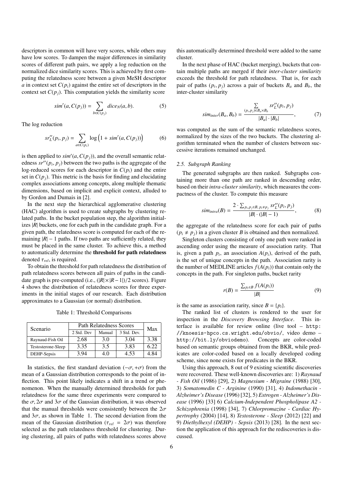descriptors in common will have very scores, while others may have low scores. To dampen the major differences in similarity scores of different path pairs, we apply a log reduction on the normalized dice similarity scores. This is achieved by first computing the relatedness score between a given MeSH descriptor *a* in context set  $C(p_i)$  against the entire set of descriptors in the context set  $C(p_i)$ . This computation yields the similarity score

$$
sim'(a, C(p_j)) = \sum_{b \in C(p_j)} dice_N(a, b).
$$
 (5)

The log reduction

$$
sr_L''(p_i, p_j) = \sum_{a \in C(p_i)} \log (1 + sim'(a, C(p_j))) \tag{6}
$$

is then applied to  $\sin'(a, C(p_j))$ , and the overall semantic relat-<br>edness  $\sin'(a, p_i)$  between the two paths is the aggregate of the edness  $sr''(p_i, p_j)$  between the two paths is the aggregate of the log-reduced scores for each descriptor in  $C(n)$  and the entire log-reduced scores for each descriptor in  $C(p_i)$  and the entire set in  $C(p_i)$ . This metric is the basis for finding and elucidating complex associations among concepts, along multiple thematic dimensions, based on implicit and explicit context, alluded to by Gordon and Dumais in [2].

In the next step the hierarchical agglomerative clustering (HAC) algorithm is used to create subgraphs by clustering related paths. In the bucket population step, the algorithm initializes  $|R|$  buckets, one for each path in the candidate graph. For a given path, the relatedness score is computed for each of the remaining  $|R| - 1$  paths. If two paths are sufficiently related, they must be placed in the same cluster. To achieve this, a method to automatically determine the threshold for path relatedness denoted  $\tau_{rel}$ , is required.

To obtain the threshold for path relatedness the distribution of path relatedness scores between all pairs of paths in the candidate graph is pre-computed (i.e., (|*R*|× |*R*−1|)/2 scores). Figure 4 shows the distribution of relatedness scores for three experiments in the initial stages of our research. Each distribution approximates to a Gaussian (or normal) distribution.

Table 1: Threshold Comparisons

| Scenario           | <b>Path Relatedness Scores</b> | Max    |             |      |
|--------------------|--------------------------------|--------|-------------|------|
|                    | 2 Std. Dev                     | Manual | 3 Std. Dev. |      |
| Raynaud-Fish Oil   | 2.68                           | 3.0    | 3.04        | 3.38 |
| Testosterone-Sleep | 3.35                           | 3.5    | 3.83        | 6.22 |
| DEHP-Sepsis        | 3.94                           | 4.0    | 4.53        | 4.84 |

In statistics, the first standard deviation ( $-\sigma$ , + $\sigma$ ) from the mean of a Gaussian distribution corresponds to the point of inflection. This point likely indicates a shift in a trend or phenomenon. When the manually determined thresholds for path relatedness for the same three experiments were compared to the  $\sigma$ ,  $2\sigma$  and  $3\sigma$  of the Gaussian distribution, it was observed that the manual thresholds were consistently between the  $2\sigma$ and  $3\sigma$ , as shown in Table 1. The second deviation from the mean of the Gaussian distribution ( $\tau_{rel} = 2\sigma$ ) was therefore selected as the path relatedness threshold for clustering. During clustering, all pairs of paths with relatedness scores above

this automatically determined threshold were added to the same cluster.

In the next phase of HAC (bucket merging), buckets that contain multiple paths are merged if their *inter-cluster similarity* exceeds the threshold for path relatedness. That is, for each pair of paths  $(p_i, p_j)$  across a pair of buckets  $B_a$  and  $B_b$ , the inter-cluster similarity inter-cluster similarity

$$
sim_{inter}(B_a, B_b) = \frac{\sum\limits_{(p_i, p_j) \in B_a \times B_b} sr_L''(p_i, p_j)}{|B_a| \cdot |B_b|},\tag{7}
$$

was computed as the sum of the semantic relatedness scores, normalized by the sizes of the two buckets. The clustering algorithm terminated when the number of clusters between successive iterations remained unchanged.

#### *2.5. Subgraph Ranking*

The generated subgraphs are then ranked. Subgraphs containing more than one path are ranked in descending order, based on their *intra-cluster similarity*, which measures the compactness of the cluster. To compute this measure

$$
sim_{intra}(B) = \frac{2 \cdot \sum_{p_i, p_j \in B, p_i \neq p_j} sr_L''(p_i, p_j)}{|B| \cdot (|B| - 1)},
$$
 (8)

the aggregate of the relatedness score for each pair of paths  $(p_i \neq p_i)$  in a given cluster *B* is obtained and then normalized.

Singleton clusters consisting of only one path were ranked in ascending order using the measure of association rarity. That is, given a path  $p_i$ , an association  $A(p_i)$ , derived of the path, is the set of unique concepts in the path. Association rarity is the number of MEDLINE articles  $f(A(p_i))$  that contain only the concepts in the path. For singleton paths, bucket rarity

$$
r(B) = \frac{\sum_{p_i \in B} f(A(p_i))}{|B|} \tag{9}
$$

is the same as association rarity, since  $B = \{p_i\}.$ 

The ranked list of clusters is rendered to the user for inspection in the *Discovery Browsing Interface*. This interface is available for review online (live tool – http: //knoesis-hpco.cs.wright.edu/obvio/, video demo – http://bit.ly/obviodemo). Concepts are color-coded based on semantic groups obtained from the BKR, while predicates are color-coded based on a locally developed coding scheme, since none exists for predicates in the BKR.

Using this approach, 8 out of 9 existing scientific discoveries were recovered. These well-known discoveries are: 1) *Raynaud - Fish Oil* (1986) [29], 2) *Magnesium - Migraine* (1988) [30], 3) *Somatomedin C - Arginine* (1990) [31], 4) *Indomethacin - Alzheimer's Disease* (1996) [32], 5) *Estrogen - Alzheimer's Disease* (1996) [33] 6) *Calcium-Independent Phospholipase A2 - Schizophrenia* (1998) [34], 7) *Chlorpromazine - Cardiac Hypertrophy* (2004) [14], 8) *Testosterone - Sleep* (2012) [22] and 9) *Diethylhexyl (DEHP) - Sepsis* (2013) [28]. In the next section the application of this approach for the rediscoveries is discussed.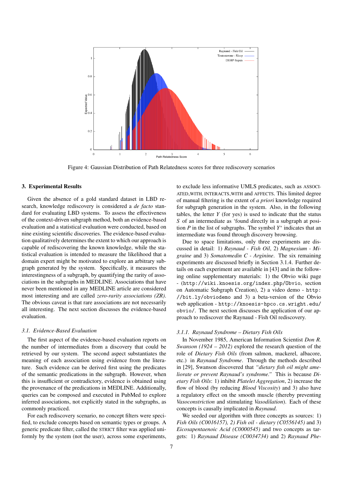

Figure 4: Gaussian Distribution of Path Relatedness scores for three rediscovery scenarios

#### 3. Experimental Results

Given the absence of a gold standard dataset in LBD research, knowledge rediscovery is considered a *de facto* standard for evaluating LBD systems. To assess the effectiveness of the context-driven subgraph method, both an evidence-based evaluation and a statistical evaluation were conducted, based on nine existing scientific discoveries. The evidence-based evaluation qualitatively determines the extent to which our approach is capable of rediscovering the known knowledge, while the statistical evaluation is intended to measure the likelihood that a domain expert might be motivated to explore an arbitrary subgraph generated by the system. Specifically, it measures the interestingness of a subgraph, by quantifying the rarity of associations in the subgraphs in MEDLINE. Associations that have never been mentioned in any MEDLINE article are considered most interesting and are called *zero-rarity associations (ZR)*. The obvious caveat is that rare associations are not necessarily all interesting. The next section discusses the evidence-based evaluation.

#### *3.1. Evidence-Based Evaluation*

The first aspect of the evidence-based evaluation reports on the number of intermediates from a discovery that could be retrieved by our system. The second aspect substantiates the meaning of each association using evidence from the literature. Such evidence can be derived first using the predicates of the semantic predications in the subgraph. However, when this is insufficient or contradictory, evidence is obtained using the provenance of the predications in MEDLINE. Additionally, queries can be composed and executed in PubMed to explore inferred associations, not explicitly stated in the subgraphs, as commonly practiced.

For each rediscovery scenario, no concept filters were specified, to exclude concepts based on semantic types or groups. A generic predicate filter, called the STRICT filter was applied uniformly by the system (not the user), across some experiments,

to exclude less informative UMLS predicates, such as ASSOCI-ATED WITH, INTERACTS WITH and AFFECTS. This limited degree of manual filtering is the extent of *a priori* knowledge required for subgraph generation in the system. Also, in the following tables, the letter *Y* (for yes) is used to indicate that the status *S* of an intermediate as 'found directly in a subgraph at position  $P$  in the list of subgraphs. The symbol  $Y^*$  indicates that an intermediate was found through discovery browsing.

Due to space limitations, only three experiments are discussed in detail: 1) *Raynaud - Fish Oil*, 2) *Magnesium - Migraine* and 3) *Somatomedin C - Arginine*. The six remaining experiments are discussed briefly in Section 3.1.4. Further details on each experiment are available in [43] and in the following online supplementary materials: 1) the Obvio wiki page - (http://wiki.knoesis.org/index.php/Obvio, section on Automatic Subgraph Creation), 2) a video demo - http: //bit.ly/obviodemo and 3) a beta-version of the Obvio web application - http://knoesis-hpco.cs.wright.edu/ obvio/. The next section discusses the application of our approach to rediscover the Raynaud - Fish Oil rediscovery.

#### *3.1.1. Raynaud Syndrome – Dietary Fish Oils*

In November 1985, American Information Scientist *Don R. Swanson (1924 – 2012)* explored the research question of the role of *Dietary Fish Oils* (from salmon, mackerel, albacore, etc.) in *Raynaud Syndrome*. Through the methods described in [29], Swanson discovered that *"dietary fish oil might ameliorate or prevent Raynaud's syndrome."* This is because *Dietary Fish Oils*: 1) inhibit *Platelet Aggregation*, 2) increase the flow of blood (by reducing *Blood Viscosity*) and 3) also have a regulatory effect on the smooth muscle (thereby preventing *Vasoconstriction* and stimulating *Vasodilation*). Each of these concepts is causally implicated in *Raynaud*.

We seeded our algorithm with three concepts as sources: 1) *Fish Oils (C0016157), 2) Fish oil - dietary (C0556145)* and 3) *Eicosapentaenoic Acid (C0000545)* and two concepts as targets: 1) *Raynaud Disease (C0034734)* and 2) *Raynaud Phe-*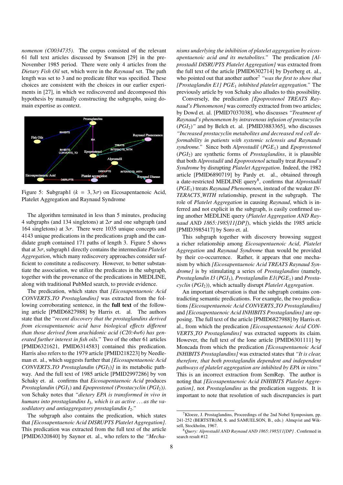*nomenon (C0034735)*. The corpus consisted of the relevant 61 full text articles discussed by Swanson [29] in the pre-November 1985 period. There were only 4 articles from the *Dietary Fish Oil* set, which were in the *Raynaud* set. The path length was set to 3 and no predicate filter was specified. These choices are consistent with the choices in our earlier experiments in [27], in which we rediscovered and decomposed this hypothesis by manually constructing the subgraphs, using domain expertise as context.



Figure 5: Subgraph1 ( $k = 3, 3\sigma$ ) on Eicosapentaenoic Acid, Platelet Aggregation and Raynaud Syndrome

The algorithm terminated in less than 5 minutes, producing 4 subgraphs (and 134 singletons) at  $2\sigma$  and one subgraph (and 164 singletons) at  $3\sigma$ . There were 1035 unique concepts and 4143 unique predications in the predications graph and the candidate graph contained 171 paths of length 3. Figure 5 shows that at  $3\sigma$ , subgraph1 directly contains the intermediate *Platelet Aggregation*, which many rediscovery approaches consider sufficient to constitute a rediscovery. However, to better substantiate the association, we utilize the predicates in the subgraph, together with the provenance of the predications in MEDLINE, along with traditional PubMed search, to provide evidence.

The predication, which states that *[Eicosapentaenoic Acid CONVERTS TO Prostaglandins]* was extracted from the following corroborating sentence, in the full text of the following article [PMID6827988] by Harris et. al. The authors state that the "*recent discovery that the prostaglandins derived from eicosapentaenoic acid have biological e*ff*ects di*ff*erent than those derived from arachidonic acid (C20:4w6) has generated further interest in fish oils.*" Two of the other 61 articles [PMID6321621, PMID6314583] contained this predication. Harris also refers to the 1979 article [PMID218223] by Needleman et. al., which suggests further that *[Eicosapentaenoic Acid CONVERTS TO Prostaglandin* (*PGI*3)*]* in its metabolic pathway. And the full text of 1985 article [PMID2997286] by von Schaky et. al. confirms that *Eicosapentaenoic Acid* produces *Prostaglandin* (*PGI*3) and *Epoprostenol (Prostacyclin* (*PGI*2)*)*. von Schaky notes that *"dietary EPA is transformed in vivo in humans into prostaglandins I*3*, which is as active . . . as the vasodilatory and antiaggregatory prostaglandin I*2*."*

The subgraph also contains the predication, which states that *[Eicosapentaenoic Acid DISRUPTS Platelet Aggregation]*. This predication was extracted from the full text of the article [PMID6320840] by Saynor et. al., who refers to the *"Mecha-* *nisms underlying the inhibition of platelet aggregation by eicosapentaenoic acid and its metabolites."* The predication *[Alprostadil DISRUPTS Platelet Aggregation]* was extracted from the full text of the article [PMID6302714] by Dyerberg et. al., who pointed out that another author<sup>7</sup> *"was the first to show that [Prostaglandin E1] PGE*<sup>1</sup> *inhibited platelet aggregation."* The previously article by von Schaky also alludes to this possibility.

Conversely, the predication *[Epoprostenol TREATS Raynaud's Phenomenon]* was correctly extracted from two articles; by Dowd et. al. [PMID7037038], who discusses *"Treatment of Raynaud's phenomenon by intravenous infusion of prostacyclin* (*PGI*2)*"* and by Belch et. al. [PMID3883365], who discusses *"Increased prostacyclin metabolites and decreased red cell deformability in patients with systemic sclerosis and Raynauds syndrome."* Since both *Alprostadil* (*PGE*1) and *Epoprostenol* (*PGI*2) are synthetic forms of *Prostaglandins*, it is plausible that both *Alprostadil* and *Epoprostenol* actually treat *Raynaud's Syndrome* by disrupting *Platelet Aggregation*. Indeed, the 1982 article [PMID6890719] by Pardy et. al., obtained through a date-restricted MEDLINE query<sup>8</sup>, confirms that *Alprostadil* (*PGE*1) treats *Raynaud Phenomenon*, instead of the weaker *IN-TERACTS WITH* relationship, present in the subgraph. The role of *Platelet Aggregation* in causing *Raynaud*, which is inferred and not explicit in the subgraph, is easily confirmed using another MEDLINE query (*Platelet Aggregation AND Raynaud AND 1865:1985*/*11[DP]*), which yields the 1985 article [PMID3985417] by Soro et. al.

This subgraph together with discovery browsing suggest a richer relationship among *Eicosapentaenoic Acid*, *Platelet Aggregation* and *Raynaud Syndrome* than would be provided by their co-occurrence. Rather, it appears that one mechanism by which *[Eicosapentaenoic Acid TREATS Raynaud Syndrome]* is by stimulating a series of *Prostaglandins* (namely, *Prostaglandin I3* (*PGI*3)*, Prostaglandin E1*(*PGE*1) and *Prostacyclin* (*PGI*2)), which actually disrupt *Platelet Aggregation*.

An important observation is that the subgraph contains contradicting semantic predications. For example, the two predications *[Eicosapentaenoic Acid CONVERTS TO Prostaglandins]* and *[Eicosapentaenoic Acid INHIBITS Prostaglandins]* are opposing. The full text of the article [PMID6827988] by Harris et. al., from which the predication *[Eicosapentaenoic Acid CON-VERTS TO Prostaglandins]* was extracted supports its claim. However, the full text of the lone article [PMID6301111] by Moncada from which the predication *[Eicosapentaenoic Acid INHIBITS Prostaglandins]* was extracted states that *"It is clear, therefore, that both prostaglandin dependent and independent pathways of platelet aggregation are inhibited by EPA in vitro."* This is an incorrect extraction from SemRep. The author is noting that *[Eicosapentaenoic Acid INHIBITS Platelet Aggregation]*, not *Prostaglandins* as the predication suggests. It is important to note that resolution of such discrepancies is part

 $7$ Kloeze, J. Prostaglandins, Proceedings of the 2nd Nobel Symposium, pp. 241-252 (BERTSTR(iM, S. and SAMUELSON, B., eds.) Almqvist and Wiksell, Stockholm, 1967.

<sup>8</sup>*Query: Alprostadil AND Raynaud AND 1865:1985*/*11[DP]* . Confirmed in search result #12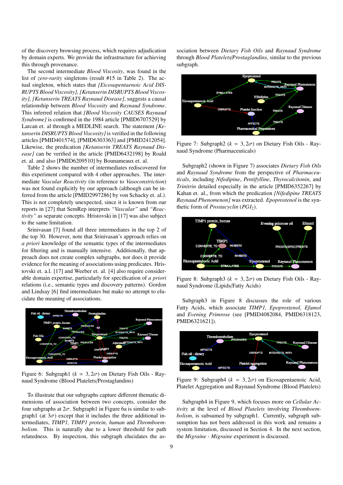of the discovery browsing process, which requires adjudication by domain experts. We provide the infrastructure for achieving this through provenance.

The second intermediate *Blood Viscosity*, was found in the list of *zero-rarity* singletons (result #15 in Table 2). The actual singleton, which states that *[Eicosapentaenoic Acid DIS-RUPTS Blood Viscosity], [Ketanserin DISRUPTS Blood Viscosity], [Ketanserin TREATS Raynaud Disease]*, suggests a causal relationship between *Blood Viscosity* and *Raynaud Syndrome*. This inferred relation that *[Blood Viscosity CAUSES Raynaud Syndrome]* is confirmed in the 1984 article [PMID6707529] by Larcan et. al through a MEDLINE search. The statement *[Ketanserin DISRUPTS Blood Viscosity]*is verified in the following articles [PMID401574], [PMID6303363] and [PMID2412054]. Likewise, the predication *[Ketanserin TREATS Raynaud Disease]* can be verified in the article [PMID6432198] by Roald et. al. and also [PMID6209510] by Bounameaux et. al.

Table 2 shows the number of intermediates rediscovered for this experiment compared with 4 other approaches. The intermediate *Vascular Reactivity* (in reference to *Vasoconstriction*) was not found explicitly by our approach (although can be inferred from the article [PMID2997286] by von Schacky et. al.). This is not completely unexpected, since it is known from our reports in [27] that SemRep interprets *"Vascular"* and *"Reactivity"* as separate concepts. Hristovski in [17] was also subject to the same limitation.

Srinivasan [7] found all three intermediates in the top 2 of the top 30. However, note that Srinivasan's approach relies on *a priori* knowledge of the semantic types of the intermediates for filtering and is manually intensive. Additionally, that approach does not create complex subgraphs, nor does it provide evidence for the meaning of associations using predicates. Hristovski et. a.l. [17] and Weeber et. al. [4] also require considerable domain expertise, particularly for specification of *a priori* relations (i.e., semantic types and discovery patterns). Gordon and Lindsay [6] find intermediates but make no attempt to elucidate the meaning of associations.



Figure 6: Subgraph1 ( $k = 3, 2\sigma$ ) on Dietary Fish Oils - Raynaud Syndrome (Blood Platelets/Prostaglandins)

To illustrate that our subgraphs capture different thematic dimensions of association between two concepts, consider the four subgraphs at  $2\sigma$ . Subgraph1 in Figure 6a is similar to subgraph1 (at  $3\sigma$ ) except that it includes the three additional intermediates, *TIMP1, TIMP1 protein, human* and *Thromboembolism*. This is naturally due to a lower threshold for path relatedness. By inspection, this subgraph elucidates the as-

sociation between *Dietary Fish Oils* and *Raynaud Syndrome* through *Blood Platelets*/*Prostaglandins*, similar to the previous subgraph.



Figure 7: Subgraph2 ( $k = 3, 2\sigma$ ) on Dietary Fish Oils - Raynaud Syndrome (Pharmaceuticals)

Subgraph2 (shown in Figure 7) associates *Dietary Fish Oils* and *Raynaud Syndrome* from the perspective of *Pharmaceuticals*, including *Nifedipine*, *Pentifylline*, *Thyrocalcitonin*, and *Trinitrin* detailed especially in the article [PMID6352267] by Kahan et. al., from which the predication *[Nifedipine TREATS Raynaud Phenomenon]* was extracted. *Epoprostenol* is the synthetic form of *Prostacyclin* (*PGI*<sub>2</sub>).



Figure 8: Subgraph3 ( $k = 3, 2\sigma$ ) on Dietary Fish Oils - Raynaud Syndrome (Lipids/Fatty Acids)

Subgraph3 in Figure 8 discusses the role of various Fatty Acids, which associate *TIMP1, Epoprostenol, Efamol* and *Evening Primrose* (see [PMID4082084, PMID6318123, PMID6321621]).



Figure 9: Subgraph4 ( $k = 3, 2\sigma$ ) on Eicosapentaenoic Acid, Platelet Aggregation and Raynaud Syndrome (Blood Platelets)

Subgraph4 in Figure 9, which focuses more on *Cellular Activity* at the level of *Blood Platelets* involving *Thromboembolism*, is subsumed by subgraph1. Currently, subgraph subsumption has not been addressed in this work and remains a system limitation, discussed in Section 4. In the next section, the *Migraine - Migraine* experiment is discussed.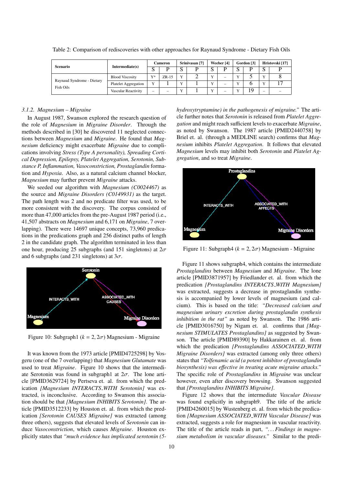| <b>Scenario</b>                         | Intermediate(s)        | <b>Cameron</b>           |         | Srinivasan [7] |  | Weeber [4]   |                          | Gordon [3]   |    | Hristovski [17]          |   |
|-----------------------------------------|------------------------|--------------------------|---------|----------------|--|--------------|--------------------------|--------------|----|--------------------------|---|
|                                         |                        | N.                       |         | C<br>w         |  | ົ<br>τJ      |                          | C<br>υ       |    | N                        |   |
| Raynaud Syndrome - Dietary<br>Fish Oils | <b>Blood Viscosity</b> | $V*$                     | $ZR-15$ | $\mathbf{v}$   |  | $\mathbf{v}$ | $\overline{\phantom{a}}$ | $\mathbf{v}$ |    | $\mathbf{v}$             |   |
|                                         | Platelet Aggregation   | v                        |         | $\mathbf{v}$   |  | $\mathbf{v}$ | -                        | $\mathbf{v}$ |    | $\mathbf{v}$             |   |
|                                         | Vascular Reactivity    | $\overline{\phantom{a}}$ |         | $\mathbf{v}$   |  | v            | -                        | $\mathbf{v}$ | 19 | $\overline{\phantom{a}}$ | - |

Table 2: Comparison of rediscoveries with other approaches for Raynaud Syndrome - Dietary Fish Oils

#### *3.1.2. Magnesium – Migraine*

In August 1987, Swanson explored the research question of the role of *Magnesium* in *Migraine Disorder*. Through the methods described in [30] he discovered 11 neglected connections between *Magnesium* and *Migraine*. He found that *Magnesium* deficiency might exacerbate *Migraine* due to complications involving *Stress (Type A personality), Spreading Cortical Depression, Epilepsy, Platelet Aggregation, Serotonin, Substance P, Inflammation, Vasoconstriction, Prostaglandin* formation and *Hypoxia*. Also, as a natural calcium channel blocker, *Magnesium* may further prevent *Migraine* attacks.

We seeded our algorithm with *Magnesium (C0024467)* as the source and *Migraine Disorders (C0149931)* as the target. The path length was 2 and no predicate filter was used, to be more consistent with the discovery. The corpus consisted of more than 47,000 articles from the pre-August 1987 period (i.e., 41,507 abstracts on *Magnesium* and 6,171 on *Migraine*, 7 overlapping). There were 14697 unique concepts, 73,960 predications in the predications graph and 256 distinct paths of length 2 in the candidate graph. The algorithm terminated in less than one hour, producing 25 subgraphs (and 151 singletons) at  $2\sigma$ and 6 subgraphs (and 231 singletons) at  $3\sigma$ .



Figure 10: Subgraph1 ( $k = 2, 2\sigma$ ) Magnesium - Migraine

It was known from the 1973 article [PMID4725298] by Vosgeru (one of the 7 overlapping) that *Magnesium Glutamate* was used to treat *Migraine*. Figure 10 shows that the intermediate Serotonin was found in subgraph1 at  $2\sigma$ . The lone article [PMID3629724] by Pertseva et. al. from which the predication *[Magnesium INTERACTS WITH Serotonin]* was extracted, is inconclusive. According to Swanson this association should be that *[Magnesium INHIBITS Serotonin]*. The article [PMID3512233] by Houston et. al. from which the predication *[Serotonin CAUSES Migraine]* was extracted (among three others), suggests that elevated levels of *Serotonin* can induce *Vasoconstriction*, which causes *Migraine*. Houston explicitly states that *"much evidence has implicated serotonin (5-* *hydroxytryptamine) in the pathogenesis of migraine."* The article further notes that *Serotonin* is released from *Platelet Aggregation* and might reach sufficient levels to exacerbate *Migraine*, as noted by Swanson. The 1987 article [PMID2440758] by Briel et. al. (through a MEDLINE search) confirms that *Magnesium* inhibits *Platelet Aggregation*. It follows that elevated *Magnesium* levels may inhibit both *Serotonin* and *Platelet Aggregation*, and so treat *Migraine*.



Figure 11: Subgraph4 ( $k = 2, 2\sigma$ ) Magnesium - Migraine

Figure 11 shows subgraph4, which contains the intermediate *Prostaglandins* between *Magnesium* and *Migraine*. The lone article [PMID3871957] by Friedlander et. al. from which the predication *[Prostaglandins INTERACTS WITH Magnesium]* was extracted, suggests a decrease in prostaglandin synthesis is accompanied by lower levels of magnesium (and calcium). This is based on the title: *"Decreased calcium and magnesium urinary excretion during prostaglandin synthesis inhibition in the rat"* as noted by Swanson. The 1986 article [PMID3016750] by Nigam et. al. confirms that *[Magnesium STIMULATES Prostaglandins]* as suggested by Swanson. The article [PMID89390] by Hakkarainen et. al. from which the predication *[Prostaglandins ASSOCIATED WITH Migraine Disorders]* was extracted (among only three others) states that *"Tolfenamic acid (a potent inhibitor of prostaglandin biosynthesis) was e*ff*ective in treating acute migraine attacks."* The specific role of *Prostaglandins* in *Migraine* was unclear however, even after discovery browsing. Swanson suggested that *[Prostaglandins INHIBITS Migraine]*.

Figure 12 shows that the intermediate *Vascular Disease* was found explicitly in subgraph9. The title of the article [PMID4260015] by Wustenberg et. al. from which the predication *[Magnesium ASSOCIATED WITH Vascular Disease]* was extracted, suggests a role for magnesium in vascular reactivity. The title of the article reads in part, *". . . Findings in magnesium metabolism in vascular diseases."* Similar to the predi-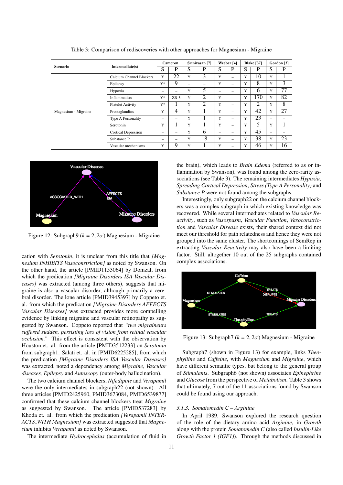| Scenario             |                            | <b>Cameron</b> |                          | Srinivasan <sup>[7]</sup> |                | Weeber [4] |                          | <b>Blake</b> [37] |     | Gordon [3]               |    |
|----------------------|----------------------------|----------------|--------------------------|---------------------------|----------------|------------|--------------------------|-------------------|-----|--------------------------|----|
|                      | Intermediate(s)            | S              | P                        | S                         | P              | S          | P                        | S                 | P   | S                        | P  |
|                      | Calcium Channel Blockers   | Y              | 22                       | Y                         | 3              | Y          | -                        | Y                 | 10  | Y                        |    |
|                      | Epilepsy                   | $Y^*$          | 9                        | -                         | -              | Y          | $\overline{\phantom{0}}$ | Y                 | 8   | Y                        | 3  |
|                      | Hypoxia                    | -              | -                        | Y                         | 5              | -          | -                        | Y                 | 6   | Y                        | 77 |
|                      | Inflammation               | $Y^*$          | $ZR-3$                   | Y                         | $\overline{2}$ | Y          | -                        | Y                 | 170 | Y                        | 82 |
|                      | <b>Platelet Activity</b>   | $Y^*$          |                          | Y                         | 2              | Y          |                          | Y                 | 2   | Y                        | 8  |
| Magnesium - Migraine | Prostaglandins             | Y              | $\overline{4}$           | Y                         |                | Y          | -                        | Y                 | 42  | Y                        | 27 |
|                      | Type A Personality         | -              | $\overline{\phantom{0}}$ | Y                         |                | Y          | -                        | Y                 | 23  | $\overline{\phantom{0}}$ |    |
|                      | Serotonin                  | Y              |                          | Y                         |                | Y          | $\overline{\phantom{0}}$ | Y                 | 5   | Y                        |    |
|                      | <b>Cortical Depression</b> | -              |                          | Y                         | 6              | -          |                          | Y                 | 45  | $\overline{\phantom{0}}$ |    |
|                      | Substance P                | -              | -                        | Y                         | 18             | Y          | -                        | Y                 | 38  | Y                        | 23 |
|                      | Vascular mechanisms        | Y              | $\mathbf Q$              | Y                         |                | Y          |                          | Y                 | 46  | Y                        | 16 |

Table 3: Comparison of rediscoveries with other approaches for Magnesium - Migraine



Figure 12: Subgraph9 ( $k = 2, 2\sigma$ ) Magnesium - Migraine

cation with *Serotonin*, it is unclear from this title that *[Magnesium INHIBITS Vasoconstriction]* as noted by Swanson. On the other hand, the article [PMID1153064] by Domzal, from which the predication *[Migraine Disorders ISA Vascular Diseases]* was extracted (among three others), suggests that migraine is also a vascular disorder, although primarily a cerebral disorder. The lone article [PMID3945397] by Coppeto et. al. from which the predication *[Migraine Disorders AFFECTS Vascular Diseases]* was extracted provides more compelling evidence by linking migraine and vascular retinopathy as suggested by Swanson. Coppeto reported that *"two migraineurs su*ff*ered sudden, persisting loss of vision from retinal vascular occlusion."* This effect is consistent with the observation by Houston et. al. from the article [PMID3512233] on *Serotonin* from subgraph1. Salati et. al. in [PMID6225285], from which the predication *[Migraine Disorders ISA Vascular Diseases]* was extracted, noted a dependency among *Migraine, Vascular diseases, Epilepsy* and *Autoscopy* (outer-body hallucination).

The two calcium channel blockers, *Nifedipine* and *Verapamil* were the only intermediates in subgraph22 (not shown). All three articles [PMID2425960, PMID3673084, PMID6539877] confirmed that these calcium channel blockers treat *Migraine* as suggested by Swanson. The article [PMID537283] by Khoda et. al. from which the predication *[Verapamil INTER-ACTS WITH Magnesium]* was extracted suggested that *Magnesium* inhibits *Verapamil* as noted by Swanson.

The intermediate *Hydrocephalus* (accumulation of fluid in

the brain), which leads to *Brain Edema* (referred to as or inflammation by Swanson), was found among the zero-rarity associations (see Table 3). The remaining intermediates *Hypoxia*, *Spreading Cortical Depression*, *Stress (Type A Personality)* and *Substance P* were not found among the subgraphs.

Interestingly, only subgraph22 on the calcium channel blockers was a complex subgraph in which existing knowledge was recovered. While several intermediates related to *Vascular Reactivity*, such as *Vasospasm*, *Vascular Function*, *Vasoconstriction* and *Vascular Disease* exists, their shared context did not meet our threshold for path relatedness and hence they were not grouped into the same cluster. The shortcomings of SemRep in extracting *Vascular Reactivity* may also have been a limiting factor. Still, altogether 10 out of the 25 subgraphs contained complex associations.



Figure 13: Subgraph7 ( $k = 2, 2\sigma$ ) Magnesium - Migraine

Subgraph7 (shown in Figure 13) for example, links *Theophylline* and *Ca*ff*eine*, with *Magnesium* and *Migraine*, which have different semantic types, but belong to the general group of *Stimulants*. Subgraph6 (not shown) associates *Epinephrine* and *Glucose* from the perspective of *Metabolism*. Table 3 shows that ultimately, 7 out of the 11 associations found by Swanson could be found using our approach.

#### *3.1.3. Somatomedin C – Arginine*

In April 1989, Swanson explored the research question of the role of the dietary amino acid *Arginine*, in *Growth* along with the protein *Somatomedin C* (also called *Insulin-Like Growth Factor 1 (IGF1)*). Through the methods discussed in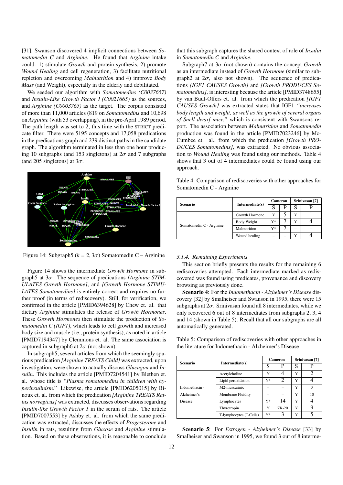[31], Swanson discovered 4 implicit connections between *Somatomedin C* and *Arginine*. He found that *Arginine* intake could: 1) stimulate *Growth* and protein synthesis, 2) promote *Wound Healing* and cell regeneration, 3) facilitate nutritional repletion and overcoming *Malnutrition* and 4) improve *Body Mass* (and Weight), especially in the elderly and debilitated.

We seeded our algorithm with *Somatomedins (C0037657)* and *Insulin-Like Growth Factor I (C0021665)* as the sources, and *Arginine (C0003765)* as the target. The corpus consisted of more than 11,000 articles (819 on *Somatomedins* and 10,698 on *Arginine* (with 53 overlapping), in the pre-April 1989 period. The path length was set to 2, this time with the STRICT predicate filter. There were 5195 concepts and 17,058 predications in the predications graph and 239 distinct paths in the candidate graph. The algorithm terminated in less than one hour producing 10 subgraphs (and 153 singletons) at  $2\sigma$  and 7 subgraphs (and 205 singletons) at  $3\sigma$ .



Figure 14: Subgraph5 ( $k = 2, 3\sigma$ ) Somatomedin C – Arginine

Figure 14 shows the intermediate *Growth Hormone* in subgraph5 at 3σ. The sequence of predications *[Arginine STIM-ULATES Growth Hormone]*, and *[Growth Hormone STIMU-LATES Somatomedins]* is entirely correct and requires no further proof (in terms of rediscovery). Still, for verification, we confirmed in the article [PMID6394628] by Chew et. al. that dietary *Arginine* stimulates the release of *Growth Hormones*. These *Growth Hormones* then stimulate the production of *Somatomedin C (IGF1)*, which leads to cell growth and increased body size and muscle (i.e., protein synthesis), as noted in article [PMID7194347] by Clemmons et. al. The same association is captured in subgraph6 at  $2\sigma$  (not shown).

In subgraph5, several articles from which the seemingly spurious predication *[Arginine TREATS Child]* was extracted, upon investigation, were shown to actually discuss *Glucagon* and *Insulin*. This includes the article [PMID7204541] by Blethen et. al. whose title is *"Plasma somatomedins in children with hyperinsulinism.*" Likewise, the article [PMID6205015] by Binoux et. al. from which the predication *[Arginine TREATS Rattus norvegicus]* was extracted, discusses observations regarding *Insulin-like Growth Factor 1* in the serum of rats. The article [PMID7007553] by Ashby et. al. from which the same predication was extracted, discusses the effects of *Progesterone* and *Insulin* in rats, resulting from *Glucose* and *Arginine* stimulation. Based on these observations, it is reasonable to conclude

that this subgraph captures the shared context of role of *Insulin* in *Somatomedin C* and *Arginine*.

Subgraph7 at  $3\sigma$  (not shown) contains the concept *Growth* as an intermediate instead of *Growth Hormone* (similar to subgraph2 at  $2\sigma$ , also not shown). The sequence of predications *[IGF1 CAUSES Growth]* and *[Growth PRODUCES Somatomedins]*, is interesting because the article [PMID3748655] by van Buul-Offers et. al. from which the predication *[IGF1 CAUSES Growth]* was extracted states that IGF1 *"increases body length and weight, as well as the growth of several organs of Snell dwarf mice,"* which is consistent with Swansons report. The association between *Malnutrition* and *Somatomedin* production was found in the article [PMID7023246] by Mc-Cumbee et. al., from which the predication *[Growth PRO-DUCES Somatomedins]*, was extracted. No obvious association to *Wound Healing* was found using our methods. Table 4 shows that 3 out of 4 intermediates could be found using our approach.

Table 4: Comparison of rediscoveries with other approaches for Somatomedin C - Arginine

| Scenario                 | Intermediate(s) | <b>Cameron</b> |   | Srinivasan <sup>[7]</sup> |  |  |
|--------------------------|-----------------|----------------|---|---------------------------|--|--|
|                          |                 |                |   |                           |  |  |
| Somatomedin C - Arginine | Growth Hormone  | Y              | 5 |                           |  |  |
|                          | Body Weight     | Y*             |   |                           |  |  |
|                          | Malnutrition    | $Y^*$          |   | -                         |  |  |
|                          | Wound healing   |                |   | v                         |  |  |

#### *3.1.4. Remaining Experiments*

This section briefly presents the results for the remaining 6 rediscoveries attempted. Each intermediate marked as rediscovered was found using predicates, provenance and discovery browsing as previously done.

Scenario 4: For the *Indomethacin - Alzheimer's Disease* discovery [32] by Smalheiser and Swanson in 1995, there were 15 subgraphs at  $2\sigma$ . Srinivasan found all 8 intermediates, while we only recovered 6 out of 8 intermediates from subgraphs 2, 3, 4 and 14 (shown in Table 5). Recall that all our subgraphs are all automatically generated.

Table 5: Comparison of rediscoveries with other approaches in the literature for Indomethacin - Alzheimer's Disease

| <b>Scenario</b> |                          |       | Cameron                     | Srinivasan <sup>[7]</sup> |    |  |
|-----------------|--------------------------|-------|-----------------------------|---------------------------|----|--|
|                 | Intermediate(s)          | S     | P                           | S                         | p  |  |
|                 | Acetylcholine            | Y     |                             | Y                         | 2  |  |
|                 | Lipid peroxidation       | $V^*$ | $\mathcal{D}_{\mathcal{L}}$ | Y                         |    |  |
| Indomethacin -  | M2-muscarinic            | -     |                             | Y                         | 3  |  |
| Alzheimer's     | <b>Membrane Fluidity</b> |       |                             | Y                         | 10 |  |
| Disease         | Lymphocytes              | $Y^*$ | 14                          | Y                         |    |  |
|                 | Thyrotropin              | Y     | $ZR-20$                     | Y                         |    |  |
|                 | T-lymphocytes (T-Cells)  | $Y^*$ |                             | Y                         |    |  |

Scenario 5: For *Estrogen - Alzheimer's Disease* [33] by Smalheiser and Swanson in 1995, we found 3 out of 8 interme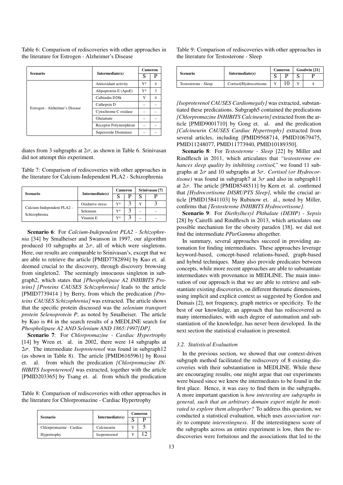Table 6: Comparison of rediscoveries with other approaches in the literature for Estrogen - Alzheimer's Disease

| <b>Scenario</b>                |                       | Cameron |   |
|--------------------------------|-----------------------|---------|---|
|                                | Intermediate(s)       | S       |   |
|                                | Antioxidant activity  | $Y^*$   | 4 |
|                                | Alipoprotein E (ApoE) | Y*      | 3 |
|                                | Calbindin D28k        | Y       | 4 |
| Estrogen - Alzheimer's Disease | Cathepsin D           |         |   |
|                                | Cytochrome C oxidase  |         |   |
|                                | Glutamate             |         |   |
|                                | Receptor Polymorphism |         |   |
|                                | Superoxide Dismutase  |         |   |

diates from 3 subgraphs at  $2\sigma$ , as shown in Table 6. Srinivasan did not attempt this experiment.

Table 7: Comparison of rediscoveries with other approaches in the literature for Calcium-Independent PLA2 - Schizophrenia

| Scenario                                    | Intermediate(s)      | <b>Cameron</b> |   | Srinivasan <sup>[7]</sup> |   |  |
|---------------------------------------------|----------------------|----------------|---|---------------------------|---|--|
|                                             |                      |                | p |                           |   |  |
| Calcium-Independent PLA2 -<br>Schizophrenia | Oxidative stress     | Y*             |   | Y                         |   |  |
|                                             | Selenium             | Y*             |   | -                         | - |  |
|                                             | Vitamin <sub>E</sub> | Y*             | ◠ | -                         | - |  |

Scenario 6: For *Calcium-Independent PLA2 - Schizophrenia* [34] by Smalheiser and Swanson in 1997, our algorithm produced 10 subgraphs at  $2\sigma$ , all of which were singletons. Here, our results are comparable to Srinivasan's, except that we are able to retrieve the article [PMID7782894] by Kuo et. al. deemed crucial to the discovery, through discovery browsing from singleton2. The seemingly innocuous singleton in subgraph2, which states that *[Phospholipase A2 INHIBITS Proteins] [Proteins CAUSES Schizophrenia]* leads to the article [PMID7739414 ] by Berry, from which the predication *[Proteins CAUSES Schizophrenia]* was extracted. The article shows that the specific protein discussed was the *selenium transport protein Selenoprotein P*, as noted by Smalheiser. The article by Kuo is #4 in the search results of a MEDLINE search for *Phospholipase A2 AND Selenium AND 1865:1997[DP]*.

Scenario 7: For *Chlorpromazine - Cardiac Hypertrophy* [14] by Wren et. al. in 2002, there were 14 subgraphs at <sup>2</sup>σ. The intermediate *Isoproterenol* was found in subgraph12 (as shown in Table 8). The article [PMID6165961] by Rossi et. al. from which the predication *[Chlorpromazine IN-HIBITS Isoproterenol]* was extracted, together with the article [PMID203365] by Tsang et. al. from which the predication

Table 8: Comparison of rediscoveries with other approaches in the literature for Chlorpromazine - Cardiac Hypertrophy

| <b>Scenario</b>          | Intermediate(s) | <b>Cameron</b> |  |  |
|--------------------------|-----------------|----------------|--|--|
|                          |                 |                |  |  |
| Chlorpromazine - Cardiac | Calcineurin     |                |  |  |
| Hypertrophy              | Isoproterenol   |                |  |  |

Table 9: Comparison of rediscoveries with other approaches in the literature for Testosterone - Sleep

| Scenario             | Intermediate(s)         |    | <b>Cameron</b> | Goodwin [21] |  |  |
|----------------------|-------------------------|----|----------------|--------------|--|--|
|                      |                         |    |                |              |  |  |
| Testosterone - Sleep | Cortisol/Hydrocortisone | XZ |                |              |  |  |

*[Isoproterenol CAUSES Cardiomegaly]* was extracted, substantiated these predications. Subgraph5 contained the predications *[Chlorpromazine INHIBITS Calcineurin]* extracted from the article [PMID9001710] by Gong et. al. and the predication *[Calcineurin CAUSES Cardiac Hypertrophy]* extracted from several articles, including [PMID9568714, PMID10679475, PMID11248077, PMID11773940, PMID10189350].

Scenario 8: For *Testosterone - Sleep* [22] by Miller and Rindflesch in 2011, which articulates that *"testosterone enhances sleep quality by inhibiting cortisol,"* we found 11 subgraphs at 2σ and 10 subgraphs at 3σ. *Cortisol (or Hydrocortisone*) was found in subgraph7 at  $3\sigma$  and also in subgraph11 at  $2\sigma$ . The article [PMID8548511] by Kern et. al. confirmed that *[Hydrocortisone DISRUPTS Sleep]*, while the crucial article [PMID15841103] by Rubinow et. al., noted by Miller, confirms that *[Testosterone INHIBITS Hydrocortisone]*.

Scenario 9: For *Diethylhexyl Phthalate (DEHP) - Sepsis* [28] by Cairelli and Rindflesch in 2013, which articulates one possible mechanism for the obesity paradox [38], we did not find the intermediate *PParGamma* altogether.

In summary, several approaches succeed in providing automation for finding intermediates. These approaches leverage keyword-based, concept-based relations-based, graph-based and hybrid techniques. Many also provide predicates between concepts, while more recent approaches are able to substantiate intermediates with provenance in MEDLINE. The main innovation of our approach is that we are able to retrieve and substantiate existing discoveries, on different thematic dimensions, using implicit and explicit context as suggested by Gordon and Dumais [2], not frequency, graph metrics or specificity. To the best of our knowledge, an approach that has rediscovered as many intermediates, with such degree of automation and substantiation of the knowledge, has never been developed. In the next section the statistical evaluation is presented.

#### *3.2. Statistical Evaluation*

In the previous section, we showed that our context-driven subgraph method facilitated the rediscovery of 8 existing discoveries with their substantiation in MEDLINE. While these are encouraging results, one might argue that our experiments were biased since we knew the intermediates to be found in the first place. Hence, it was easy to find them in the subgraphs. A more important question is *how interesting are subgraphs in general, such that an arbitrary domain expert might be motivated to explore them altogether?* To address this question, we conducted a statistical evaluation, which uses *association rarity* to compute *interestingness*. If the interestingness score of the subgraphs across an entire experiment is low, then the rediscoveries were fortuitous and the associations that led to the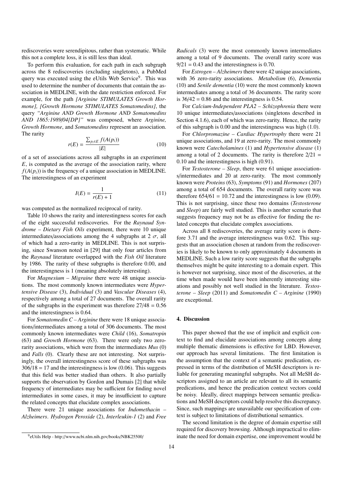rediscoveries were serendipitous, rather than systematic. While this not a complete loss, it is still less than ideal.

To perform this evaluation, for each path in each subgraph across the 8 rediscoveries (excluding singletons), a PubMed query was executed using the eUtils Web Service<sup>9</sup>. This was used to determine the number of documents that contain the association in MEDLINE, with the date restriction enforced. For example, for the path *[Arginine STIMULATES Growth Hormone], [Growth Hormone STIMULATES Somatomedins]*, the query *"Arginine AND Growth Hormone AND Somatomedins AND 1865:1989*/*04[DP]"* was composed, where *Arginine, Growth Hormone*, and *Somatomedins* represent an association. The rarity

$$
r(E) = \frac{\sum_{p_i \in E} f(A(p_i))}{|E|} \tag{10}
$$

of a set of associations across all subgraphs in an experiment *E*, is computed as the average of the association rarity, where  $f(A(p_i))$  is the frequency of a unique association in MEDLINE. The interestingness of an experiment

$$
I(E) = \frac{1}{r(E) + 1} \tag{11}
$$

was computed as the normalized reciprocal of rarity.

Table 10 shows the rarity and interestingness scores for each of the eight successful rediscoveries. For the *Raynaud Syndrome – Dietary Fish Oils* experiment, there were 10 unique intermediates/associations among the 4 subgraphs at 2  $\sigma$ , all of which had a zero-rarity in MEDLINE. This is not surprising, since Swanson noted in [29] that only four articles from the *Raynaud* literature overlapped with the *Fish Oil* literature by 1986. The rarity of these subgraphs is therefore 0.00, and the interestingness is 1 (meaning absolutely interesting).

For *Magnesium – Migraine* there were 48 unique associations. The most commonly known intermediates were *Hypertensive Disease* (3), *Individual* (3) and *Vascular Diseases* (4), respectively among a total of 27 documents. The overall rarity of the subgraphs in the experiment was therefore  $27/48 = 0.56$ and the interestingness is 0.64.

For *Somatomedin C – Arginine* there were 18 unique associations/intermediates among a total of 306 documents. The most commonly known intermediates were *Child* (16), *Somatropin* (63) and *Growth Hormone* (63). There were only two zerorarity associations, which were from the intermediates *Mus* (0) and *Falls* (0). Clearly these are not interesting. Not surprisingly, the overall interestingness score of these subgraphs was  $306/18 = 17$  and the interestingness is low (0.06). This suggests that this field was better studied than others. It also partially supports the observation by Gordon and Dumais [2] that while frequency of intermediates may be sufficient for finding novel intermediates in some cases, it may be insufficient to capture the related concepts that elucidate complex associations.

There were 21 unique associations for *Indomethacin – Alzheimers*. *Hydrogen Peroxide* (2), *Interleukin-1* (2) and *Free*

*Radicals* (3) were the most commonly known intermediates among a total of 9 documents. The overall rarity score was  $9/21 = 0.43$  and the interestingness is 0.70.

For *Estrogen – Alzheimers* there were 42 unique associations, with 36 zero-rarity associations. *Metabolism* (6), *Dementia* (10) and *Senile dementia* (10) were the most commonly known intermediates among a total of 36 documents. The rarity score is  $36/42 = 0.86$  and the interestingness is 0.54.

For *Calcium-Independent PLA2 – Schizophrenia* there were 10 unique intermediates/associations (singletons described in Section 4.1.6), each of which was zero-rarity. Hence, the rarity of this subgraph is 0.00 and the interestingness was high (1.0).

For *Chlorpromazine – Cardiac Hypertrophy* there were 21 unique associations, and 19 at zero-rarity. The most commonly known were *Catecholamines* (1) and *Hypertensive disease* (1) among a total of 2 documents. The rarity is therefore  $2/21$  = 0.10 and the interestingness is high (0.91).

For *Testosterone – Sleep*, there were 61 unique associations/intermediates and 20 at zero-rarity. The most commonly known were *Proteins* (63), *Symptoms* (91) and *Hormones* (207) among a total of 654 documents. The overall rarity score was therefore  $654/61 = 10.72$  and the interestingness is low  $(0.09)$ . This is not surprising, since these two domains (*Testosterone* and *Sleep*) are fairly well studied. This is another scenario that suggests frequency may not be as effective for finding the related concepts that elucidate complex associations.

Across all 8 rediscoveries, the average rarity score is therefore 3.71 and the average interestingness was 0.62. This suggests that an association chosen at random from the rediscoveries is likely to be known to only approximately 4 documents in MEDLINE. Such a low rarity score suggests that the subgraphs themselves might be quite interesting to a domain expert. This is however not surprising, since most of the discoveries, at the time when made would have been inherently interesting situations and possibly not well studied in the literature. *Testosterone – Sleep* (2011) and *Somatomedin C – Arginine* (1990) are exceptional.

#### 4. Discussion

This paper showed that the use of implicit and explicit context to find and elucidate associations among concepts along multiple thematic dimensions is effective for LBD. However, our approach has several limitations. The first limitation is the assumption that the context of a semantic predication, expressed in terms of the distribution of MeSH descriptors is reliable for generating meaningful subgraphs. Not all MeSH descriptors assigned to an article are relevant to all its semantic predications, and hence the predication context vectors could be noisy. Ideally, direct mappings between semantic predications and MeSH descriptors could help resolve this discrepancy. Since, such mappings are unavailable our specification of context is subject to limitations of distributional semantics.

The second limitation is the degree of domain expertise still required for discovery browsing. Although impractical to eliminate the need for domain expertise, one improvement would be

<sup>9</sup> eUtils Help - http://www.ncbi.nlm.nih.gov/books/NBK25500/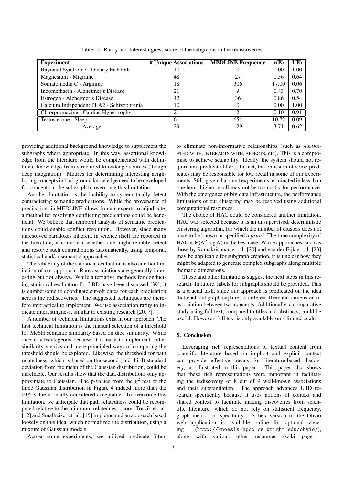| <b>Experiment</b>                        | # Unique Associations | <b>MEDLINE Frequency</b> | r(E)  | I(E) |
|------------------------------------------|-----------------------|--------------------------|-------|------|
| Raynaud Syndrome - Dietary Fish Oils     | 10                    |                          | 0.00  | 1.00 |
| Magnesium - Migraine                     | 48                    | 27                       | 0.56  | 0.64 |
| Somatomedin C - Arginine                 | 18                    | 306                      | 17.00 | 0.06 |
| Indomethacin - Alzheimer's Disease       | 21                    | 9                        | 0.43  | 0.70 |
| Estrogen - Alzheimer's Disease           | 42                    | 36                       | 0.86  | 0.54 |
| Calcium Independent PLA2 - Schizophrenia | 10                    |                          | 0.00  | 1.00 |
| Chlorpromazine - Cardiac Hypertrophy     | 21                    | $\mathcal{D}$            | 0.10  | 0.91 |
| Testosterone - Sleep                     | 61                    | 654                      | 10.72 | 0.09 |
| Average                                  | 29                    | 129                      | 3.71  | 0.62 |

Table 10: Rarity and Interestingness score of the subgraphs in the rediscoveries

providing additional background knowledge to supplement the subgraphs where appropriate. In this way, assertional knowledge from the literature would be complemented with definitional knowledge from structured knowledge sources (though deep integration). Metrics for determining interesting neighboring concepts in background knowledge need to be developed for concepts in the subgraph to overcome this limitation.

Another limitation is the inability to systematically detect contradicting semantic predications. While the provenance of predications in MEDLINE allows domain experts to adjudicate, a method for resolving conflicting predications could be beneficial. We believe that temporal analysis of semantic predications could enable conflict resolution. However, since many unresolved paradoxes inherent in science itself are reported in the literature, it is unclear whether one might reliably detect and resolve such contradictions automatically, using temporal, statistical and/or semantic approaches.

The reliability of the statistical evaluation is also another limitation of our approach. Rare associations are generally interesting but not always. While alternative methods for conducting statistical evaluation for LBD have been discussed [39], it is cumbersome to coordinate cut-off dates for each predication across the rediscoveries. The suggested techniques are therefore impractical to implement. We use association rarity to indicate interestingness, similar to existing research [20, 7].

A number of technical limitations exist in our approach. The first technical limitation is the manual selection of a threshold for MeSH semantic similarity based on dice similarity. While dice is advantageous because it is easy to implement, other similarity metrics and more principled ways of computing the threshold should be explored. Likewise, the threshold for path relatedness, which is based on the second (and third) standard deviation from the mean of the Gaussian distribution, could be unreliable. Our results show that the data distributions only approximate to Gaussian. The p-values from the  $\chi^2$  test of the three Gaussian distribution in Figure 4 indeed more than the three Gaussian distribution in Figure 4 indeed more than the 0.05 value normally considered acceptable. To overcome this limitation, we anticipate that path relatedness could be recomputed relative to the minimum relatedness score. Torvik et. al. [12] and Smalheiser et. al. [15] implemented an approach based loosely on this idea, which normalized the distribution, using a mixture of Gaussian models.

Across some experiments, we utilized predicate filters

to eliminate non-informative relationships (such as ASSOCI-ATED WITH, INTERACTS WITH, AFFECTS, etc). This is a compromise to achieve scalability. Ideally, the system should not require any predicate filters. In fact, the omission of some predicates may be responsible for low recall in some of our experiments. Still, given that most experiments terminated in less than one hour, higher recall may not be too costly for performance. With the emergence of big data infrastructure, the performance limitations of our clustering may be resolved using additional computational resources.

The choice of HAC could be considered another limitation. HAC was selected because it is an unsupervised, deterministic clustering algorithm, for which the number of clusters does not have to be known or specified *a priori*. The time complexity of HAC is  $\Theta(N^2 \log N)$  in the best case. While approaches, such as those by Ramakrishnan et. al. [20] and van der Eijk et. al. [23] may be applicable for subgraph creation, it is unclear how they might be adapted to generate complex subgraphs along multiple thematic dimensions.

These and other limitations suggest the next steps in this research. In future, labels for subgraphs should be provided. This is a crucial task, since our approach is predicated on the idea that each subgraph captures a different thematic dimension of association between two concepts. Additionally, a comparative study using full text, compared to titles and abstracts, could be useful. However, full text is only available on a limited scale.

#### 5. Conclusion

Leveraging rich representations of textual content from scientific literature based on implicit and explicit context can provide effective means for literature-based discovery, as illustrated in this paper. This paper also shows that these rich representations were important in facilitating the rediscovery of 8 out of 9 well-known associations and their substantiation. The approach advances LBD research specifically because it uses notions of context and shared context to facilitate making discoveries from scientific literature, which do not rely on statistical frequency, graph metrics or specificity. A beta-version of the Obvio web application is available online for optional viewing (http://knoesis-hpco.cs.wright.edu/obvio/), along with various other resources (wiki page -